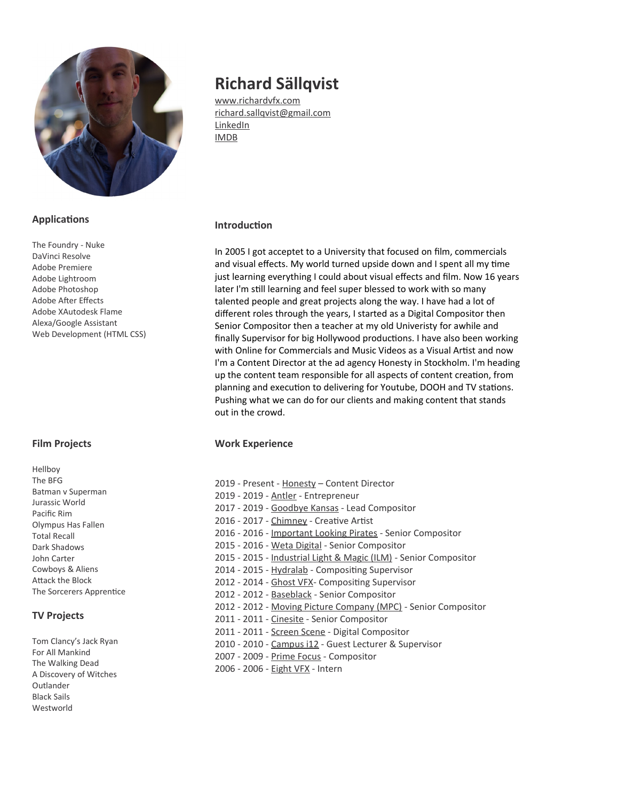

## **Applications**

The Foundry - Nuke DaVinci Resolve Adobe Premiere Adobe Lightroom Adobe Photoshop Adobe Afer Efects Adobe XAutodesk Flame Alexa/Google Assistant Web Development (HTML CSS)

## **Film Projects**

Hellboy The BFG Batman v Superman Jurassic World Pacific Rim Olympus Has Fallen Total Recall Dark Shadows John Carter Cowboys & Aliens Attack the Block The Sorcerers Apprentice

# **TV Projects**

Tom Clancy's Jack Ryan For All Mankind The Walking Dead A Discovery of Witches Outlander Black Sails Westworld

# **Richard Sällqvist**

[www.richardvfx.com](http://www.richardvfx.com/) [richard.sallqvist@gmail.com](mailto:richard.sallqvist@gmail.com) [LinkedIn](https://www.linkedin.com/in/richardvfx/) [IMDB](https://www.imdb.com/name/nm2769364/)

## **Introduction**

In 2005 I got acceptet to a University that focused on flm, commercials and visual effects. My world turned upside down and I spent all my time just learning everything I could about visual effects and film. Now 16 years later I'm still learning and feel super blessed to work with so many talented people and great projects along the way. I have had a lot of diferent roles through the years, I started as a Digital Compositor then Senior Compositor then a teacher at my old Univeristy for awhile and fnally Supervisor for big Hollywood productons. I have also been working with Online for Commercials and Music Videos as a Visual Artist and now I'm a Content Director at the ad agency Honesty in Stockholm. I'm heading up the content team responsible for all aspects of content creaton, from planning and execution to delivering for Youtube, DOOH and TV stations. Pushing what we can do for our clients and making content that stands out in the crowd.

# **Work Experience**

2019 - Present - [Honesty](http://www.honesty.se/) – Content Director 2019 - 2019 - [Antler](https://www.antler.co/) - Entrepreneur 2017 - 2019 - [Goodbye Kansas](http://goodbyekansasstudios.com/) - Lead Compositor 2016 - 2017 - [Chimney](https://www.chimneygroup.com/) - Creative Artist 2016 - 2016 - [Important Looking Pirates](http://ilpvfx.com/) - Senior Compositor 2015 - 2016 - [Weta Digital](https://www.wetafx.co.nz/) - Senior Compositor 2015 - 2015 - [Industrial Light & Magic \(ILM\)](https://www.ilm.com/) - Senior Compositor 2014 - 2015 - [Hydralab](https://cph.hydralab.com/) - Compositing Supervisor 2012 - 2014 - [Ghost VFX-](http://ghost.dk/) Compositng Supervisor 2012 - 2012 - [Baseblack](http://baseblack.com/news.html) - Senior Compositor 2012 - 2012 - [Moving Picture Company \(MPC\)](https://www.moving-picture.com/) - Senior Compositor 2011 - 2011 - [Cinesite](https://www.cinesite.com/) - Senior Compositor 2011 - 2011 - [Screen Scene](https://www.screenscene.ie/) - Digital Compositor 2010 - 2010 - [Campus i12](http://www.campusi12.com/programmes) - Guest Lecturer & Supervisor 2007 - 2009 - [Prime Focus](http://www.primefocus.com/) - Compositor 2006 - 2006 - [Eight VFX](https://eightvfx.com/) - Intern